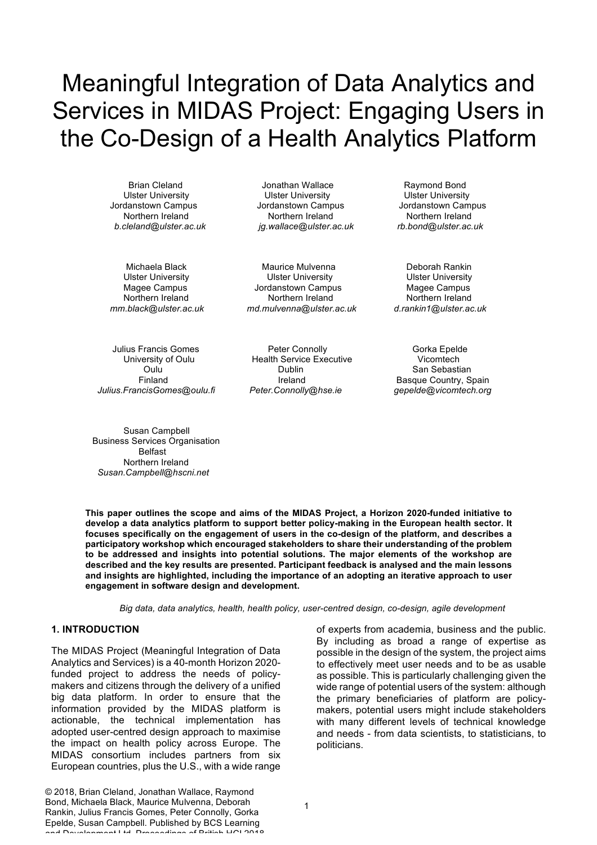Brian Cleland Jonathan Wallace Raymond Bond Ulster University Ulster University Ulster University Jordanstown Campus Jordanstown Campus Jordanstown Campus Northern Ireland Northern Ireland Northern Ireland *b.cleland@ulster.ac.uk jg.wallace@ulster.ac.uk rb.bond@ulster.ac.uk*

Michaela Black Maurice Mulvenna Deborah Rankin Ulster University Ulster University Ulster University Magee Campus Jordanstown Campus Magee Campus Northern Ireland Northern Ireland Northern Ireland  *mm.black@ulster.ac.uk md.mulvenna@ulster.ac.uk d.rankin1@ulster.ac.uk*

 *Julius.FrancisGomes@oulu.fi Peter.Connolly@hse.ie gepelde@vicomtech.org*

Julius Francis Gomes **Peter Connolly Peter Connolly** Gorka Epelde University of Oulu Health Service Executive Vicomtech Oulu Dublin San Sebastian Finland Ireland Ireland Basque Country, Spain<br>
ncisGomes@oulu.fi Peter.Connolly@hse.ie gepelde@vicomtech.org

Susan Campbell Business Services Organisation Belfast Northern Ireland  *Susan.Campbell@hscni.net* 

**This paper outlines the scope and aims of the MIDAS Project, a Horizon 2020-funded initiative to develop a data analytics platform to support better policy-making in the European health sector. It focuses specifically on the engagement of users in the co-design of the platform, and describes a participatory workshop which encouraged stakeholders to share their understanding of the problem to be addressed and insights into potential solutions. The major elements of the workshop are described and the key results are presented. Participant feedback is analysed and the main lessons and insights are highlighted, including the importance of an adopting an iterative approach to user engagement in software design and development.**

*Big data, data analytics, health, health policy, user-centred design, co-design, agile development*

#### **1. INTRODUCTION**

The MIDAS Project (Meaningful Integration of Data Analytics and Services) is a 40-month Horizon 2020 funded project to address the needs of policymakers and citizens through the delivery of a unified big data platform. In order to ensure that the information provided by the MIDAS platform is actionable, the technical implementation has adopted user-centred design approach to maximise the impact on health policy across Europe. The MIDAS consortium includes partners from six European countries, plus the U.S., with a wide range of experts from academia, business and the public. By including as broad a range of expertise as possible in the design of the system, the project aims to effectively meet user needs and to be as usable as possible. This is particularly challenging given the wide range of potential users of the system: although the primary beneficiaries of platform are policymakers, potential users might include stakeholders with many different levels of technical knowledge and needs - from data scientists, to statisticians, to politicians.

© 2018, Brian Cleland, Jonathan Wallace, Raymond Bond, Michaela Black, Maurice Mulvenna, Deborah Rankin, Julius Francis Gomes, Peter Connolly, Gorka Epelde, Susan Campbell. Published by BCS Learning and Development Ltd. Proceedings of British HCI 2018.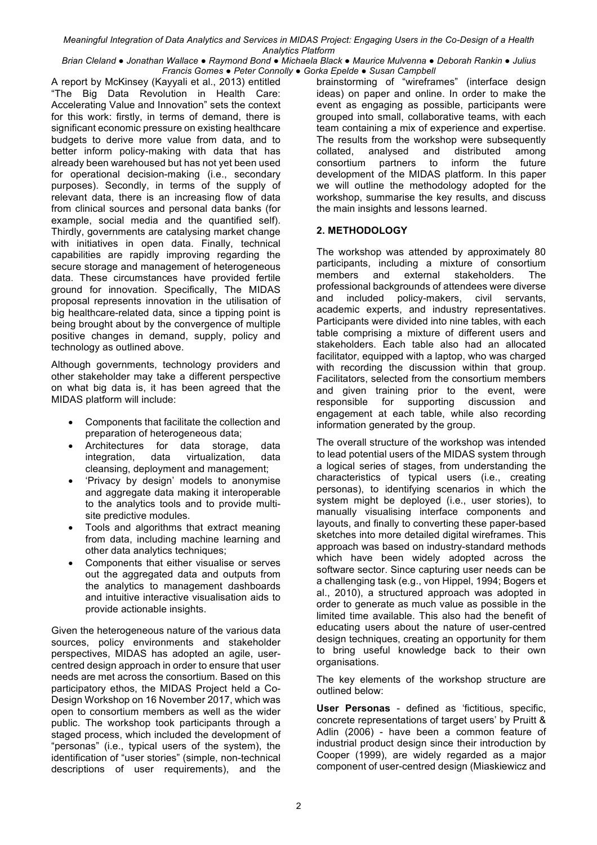*Brian Cleland ● Jonathan Wallace ● Raymond Bond ● Michaela Black ● Maurice Mulvenna ● Deborah Rankin ● Julius Francis Gomes ● Peter Connolly ● Gorka Epelde ● Susan Campbell*

A report by McKinsey (Kayyali et al., 2013) entitled "The Big Data Revolution in Health Care: Accelerating Value and Innovation" sets the context for this work: firstly, in terms of demand, there is significant economic pressure on existing healthcare budgets to derive more value from data, and to better inform policy-making with data that has already been warehoused but has not yet been used for operational decision-making (i.e., secondary purposes). Secondly, in terms of the supply of relevant data, there is an increasing flow of data from clinical sources and personal data banks (for example, social media and the quantified self). Thirdly, governments are catalysing market change with initiatives in open data. Finally, technical capabilities are rapidly improving regarding the secure storage and management of heterogeneous data. These circumstances have provided fertile ground for innovation. Specifically, The MIDAS proposal represents innovation in the utilisation of big healthcare-related data, since a tipping point is being brought about by the convergence of multiple positive changes in demand, supply, policy and technology as outlined above.

Although governments, technology providers and other stakeholder may take a different perspective on what big data is, it has been agreed that the MIDAS platform will include:

- Components that facilitate the collection and preparation of heterogeneous data;
- Architectures for data storage, data integration, data virtualization, data cleansing, deployment and management;
- 'Privacy by design' models to anonymise and aggregate data making it interoperable to the analytics tools and to provide multisite predictive modules.
- Tools and algorithms that extract meaning from data, including machine learning and other data analytics techniques;
- Components that either visualise or serves out the aggregated data and outputs from the analytics to management dashboards and intuitive interactive visualisation aids to provide actionable insights.

Given the heterogeneous nature of the various data sources, policy environments and stakeholder perspectives, MIDAS has adopted an agile, usercentred design approach in order to ensure that user needs are met across the consortium. Based on this participatory ethos, the MIDAS Project held a Co-Design Workshop on 16 November 2017, which was open to consortium members as well as the wider public. The workshop took participants through a staged process, which included the development of "personas" (i.e., typical users of the system), the identification of "user stories" (simple, non-technical descriptions of user requirements), and the brainstorming of "wireframes" (interface design ideas) on paper and online. In order to make the event as engaging as possible, participants were grouped into small, collaborative teams, with each team containing a mix of experience and expertise. The results from the workshop were subsequently collated, analysed and distributed among consortium partners to inform the future development of the MIDAS platform. In this paper we will outline the methodology adopted for the workshop, summarise the key results, and discuss the main insights and lessons learned.

# **2. METHODOLOGY**

The workshop was attended by approximately 80 participants, including a mixture of consortium members and external stakeholders. The professional backgrounds of attendees were diverse and included policy-makers, civil servants, academic experts, and industry representatives. Participants were divided into nine tables, with each table comprising a mixture of different users and stakeholders. Each table also had an allocated facilitator, equipped with a laptop, who was charged with recording the discussion within that group. Facilitators, selected from the consortium members and given training prior to the event, were responsible for supporting discussion and engagement at each table, while also recording information generated by the group.

The overall structure of the workshop was intended to lead potential users of the MIDAS system through a logical series of stages, from understanding the characteristics of typical users (i.e., creating personas), to identifying scenarios in which the system might be deployed (i.e., user stories), to manually visualising interface components and layouts, and finally to converting these paper-based sketches into more detailed digital wireframes. This approach was based on industry-standard methods which have been widely adopted across the software sector. Since capturing user needs can be a challenging task (e.g., von Hippel, 1994; Bogers et al., 2010), a structured approach was adopted in order to generate as much value as possible in the limited time available. This also had the benefit of educating users about the nature of user-centred design techniques, creating an opportunity for them to bring useful knowledge back to their own organisations.

The key elements of the workshop structure are outlined below:

**User Personas** - defined as 'fictitious, specific, concrete representations of target users' by Pruitt & Adlin (2006) - have been a common feature of industrial product design since their introduction by Cooper (1999), are widely regarded as a major component of user-centred design (Miaskiewicz and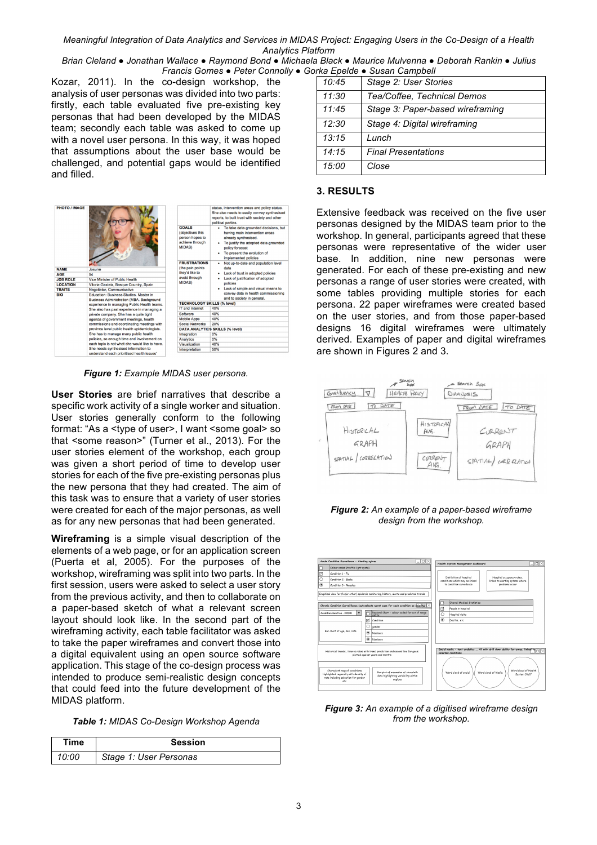*Brian Cleland ● Jonathan Wallace ● Raymond Bond ● Michaela Black ● Maurice Mulvenna ● Deborah Rankin ● Julius Francis Gomes ● Peter Connolly ● Gorka Epelde ● Susan Campbell*

Kozar, 2011). In the co-design workshop, the analysis of user personas was divided into two parts: firstly, each table evaluated five pre-existing key personas that had been developed by the MIDAS team; secondly each table was asked to come up with a novel user persona. In this way, it was hoped that assumptions about the user base would be challenged, and potential gaps would be identified and filled.



*Figure 1: Example MIDAS user persona.*

**User Stories** are brief narratives that describe a specific work activity of a single worker and situation. User stories generally conform to the following format: "As a <type of user>, I want <some goal> so that <some reason>" (Turner et al., 2013). For the user stories element of the workshop, each group was given a short period of time to develop user stories for each of the five pre-existing personas plus the new persona that they had created. The aim of this task was to ensure that a variety of user stories were created for each of the major personas, as well as for any new personas that had been generated.

**Wireframing** is a simple visual description of the elements of a web page, or for an application screen (Puerta et al, 2005). For the purposes of the workshop, wireframing was split into two parts. In the first session, users were asked to select a user story from the previous activity, and then to collaborate on a paper-based sketch of what a relevant screen layout should look like. In the second part of the wireframing activity, each table facilitator was asked to take the paper wireframes and convert those into a digital equivalent using an open source software application. This stage of the co-design process was intended to produce semi-realistic design concepts that could feed into the future development of the MIDAS platform.

*Table 1: MIDAS Co-Design Workshop Agenda*

| Time  | <b>Session</b>         |
|-------|------------------------|
| 10:00 | Stage 1: User Personas |

| 10:45 | Stage 2: User Stories            |
|-------|----------------------------------|
| 11:30 | Tea/Coffee, Technical Demos      |
| 11:45 | Stage 3: Paper-based wireframing |
| 12:30 | Stage 4: Digital wireframing     |
| 13:15 | Lunch                            |
| 14:15 | <b>Final Presentations</b>       |
| 15:00 | Close                            |

#### **3. RESULTS**

Extensive feedback was received on the five user personas designed by the MIDAS team prior to the workshop. In general, participants agreed that these personas were representative of the wider user base. In addition, nine new personas were generated. For each of these pre-existing and new personas a range of user stories were created, with some tables providing multiple stories for each persona. 22 paper wireframes were created based on the user stories, and from those paper-based designs 16 digital wireframes were ultimately derived. Examples of paper and digital wireframes are shown in Figures 2 and 3.



*Figure 2: An example of a paper-based wireframe design from the workshop.*



*Figure 3: An example of a digitised wireframe design from the workshop.*